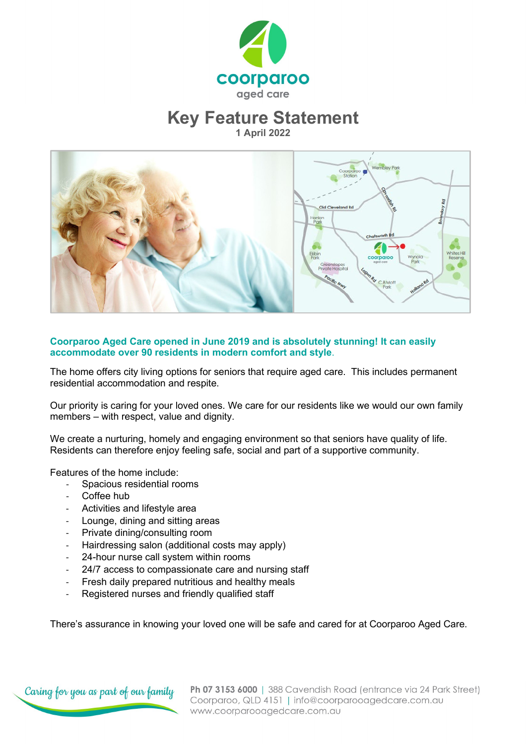

### **Key Feature Statement**

**1 April 2022**



### **Coorparoo Aged Care opened in June 2019 and is absolutely stunning! It can easily accommodate over 90 residents in modern comfort and style**.

The home offers city living options for seniors that require aged care. This includes permanent residential accommodation and respite.

Our priority is caring for your loved ones. We care for our residents like we would our own family members – with respect, value and dignity.

We create a nurturing, homely and engaging environment so that seniors have quality of life. Residents can therefore enjoy feeling safe, social and part of a supportive community.

Features of the home include:

- Spacious residential rooms
- Coffee hub
- Activities and lifestyle area
- Lounge, dining and sitting areas
- Private dining/consulting room
- Hairdressing salon (additional costs may apply)
- 24-hour nurse call system within rooms
- 24/7 access to compassionate care and nursing staff
- Fresh daily prepared nutritious and healthy meals
- Registered nurses and friendly qualified staff

There's assurance in knowing your loved one will be safe and cared for at Coorparoo Aged Care.

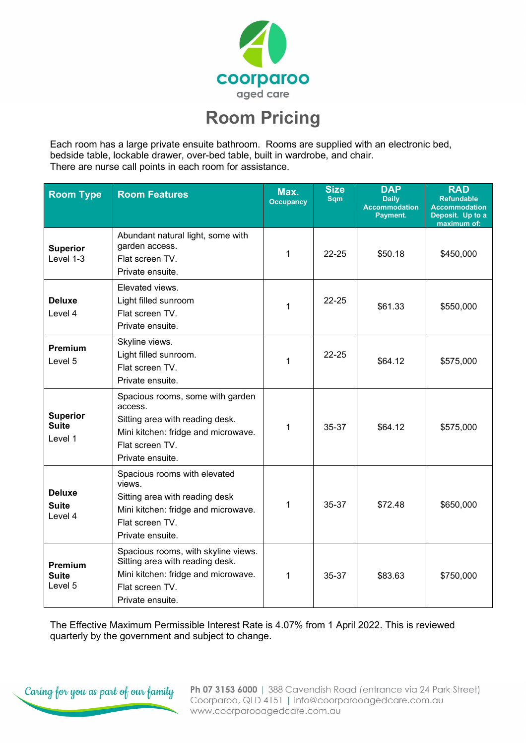

# **Room Pricing**

Each room has a large private ensuite bathroom. Rooms are supplied with an electronic bed, bedside table, lockable drawer, over-bed table, built in wardrobe, and chair. There are nurse call points in each room for assistance.

| <b>Room Type</b>                           | <b>Room Features</b>                                                                                                                                         | Max.<br><b>Occupancy</b> | <b>Size</b><br><b>Sqm</b> | <b>DAP</b><br><b>Daily</b><br><b>Accommodation</b><br>Payment. | <b>RAD</b><br><b>Refundable</b><br><b>Accommodation</b><br>Deposit. Up to a<br>maximum of: |
|--------------------------------------------|--------------------------------------------------------------------------------------------------------------------------------------------------------------|--------------------------|---------------------------|----------------------------------------------------------------|--------------------------------------------------------------------------------------------|
| <b>Superior</b><br>Level 1-3               | Abundant natural light, some with<br>garden access.<br>Flat screen TV.<br>Private ensuite.                                                                   | 1                        | $22 - 25$                 | \$50.18                                                        | \$450,000                                                                                  |
| <b>Deluxe</b><br>Level 4                   | Elevated views.<br>Light filled sunroom<br>Flat screen TV.<br>Private ensuite.                                                                               | 1                        | $22 - 25$                 | \$61.33                                                        | \$550,000                                                                                  |
| <b>Premium</b><br>Level 5                  | Skyline views.<br>Light filled sunroom.<br>Flat screen TV.<br>Private ensuite.                                                                               | 1                        | $22 - 25$                 | \$64.12                                                        | \$575,000                                                                                  |
| <b>Superior</b><br><b>Suite</b><br>Level 1 | Spacious rooms, some with garden<br>access.<br>Sitting area with reading desk.<br>Mini kitchen: fridge and microwave.<br>Flat screen TV.<br>Private ensuite. | 1                        | 35-37                     | \$64.12                                                        | \$575,000                                                                                  |
| <b>Deluxe</b><br><b>Suite</b><br>Level 4   | Spacious rooms with elevated<br>views.<br>Sitting area with reading desk<br>Mini kitchen: fridge and microwave.<br>Flat screen TV.<br>Private ensuite.       | 1                        | 35-37                     | \$72.48                                                        | \$650,000                                                                                  |
| <b>Premium</b><br><b>Suite</b><br>Level 5  | Spacious rooms, with skyline views.<br>Sitting area with reading desk.<br>Mini kitchen: fridge and microwave.<br>Flat screen TV.<br>Private ensuite.         | 1                        | 35-37                     | \$83.63                                                        | \$750,000                                                                                  |

The Effective Maximum Permissible Interest Rate is 4.07% from 1 April 2022. This is reviewed quarterly by the government and subject to change.



Ph 07 3153 6000 | 388 Cavendish Road (entrance via 24 Park Street) Coorparoo, QLD 4151 | info@coorparooagedcare.com.au www.coorparooagedcare.com.au